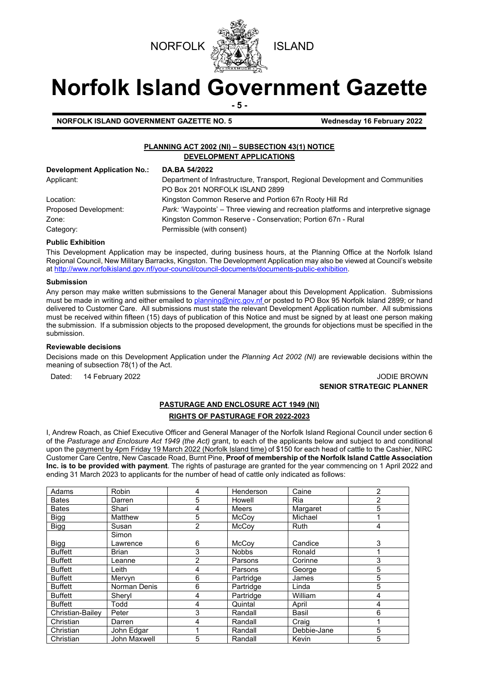



# **Norfolk Island Government Gazette**

**- 5 -**

**NORFOLK ISLAND GOVERNMENT GAZETTE NO. 5 Wednesday 16 February 2022**

# **PLANNING ACT 2002 (NI) – SUBSECTION 43(1) NOTICE DEVELOPMENT APPLICATIONS**

| <b>Development Application No.:</b> | DA.BA 54/2022                                                                              |
|-------------------------------------|--------------------------------------------------------------------------------------------|
| Applicant:                          | Department of Infrastructure, Transport, Regional Development and Communities              |
|                                     | PO Box 201 NORFOLK ISLAND 2899                                                             |
| Location:                           | Kingston Common Reserve and Portion 67n Rooty Hill Rd                                      |
| Proposed Development:               | <i>Park:</i> 'Waypoints' – Three viewing and recreation platforms and interpretive signage |
| Zone:                               | Kingston Common Reserve - Conservation; Portion 67n - Rural                                |
| Category:                           | Permissible (with consent)                                                                 |

### **Public Exhibition**

This Development Application may be inspected, during business hours, at the Planning Office at the Norfolk Island Regional Council, New Military Barracks, Kingston. The Development Application may also be viewed at Council's website a[t http://www.norfolkisland.gov.nf/your-council/council-documents/documents-public-exhibition.](http://www.norfolkisland.gov.nf/your-council/council-documents/documents-public-exhibition)

#### **Submission**

Any person may make written submissions to the General Manager about this Development Application. Submissions must be made in writing and either emailed t[o planning@nirc.gov.nf](mailto:planning@nirc.gov.nf) or posted to PO Box 95 Norfolk Island 2899; or hand delivered to Customer Care. All submissions must state the relevant Development Application number. All submissions must be received within fifteen (15) days of publication of this Notice and must be signed by at least one person making the submission. If a submission objects to the proposed development, the grounds for objections must be specified in the submission.

#### **Reviewable decisions**

Decisions made on this Development Application under the *Planning Act 2002 (NI)* are reviewable decisions within the meaning of subsection 78(1) of the Act.

Dated: 14 February 2022 **Journal and Science 1.0 September 2008** JODIE BROWN

# **SENIOR STRATEGIC PLANNER**

# **PASTURAGE AND ENCLOSURE ACT 1949 (NI)**

## **RIGHTS OF PASTURAGE FOR 2022-2023**

I, Andrew Roach, as Chief Executive Officer and General Manager of the Norfolk Island Regional Council under section 6 of the *Pasturage and Enclosure Act 1949 (the Act)* grant, to each of the applicants below and subject to and conditional upon the payment by 4pm Friday 19 March 2022 (Norfolk Island time) of \$150 for each head of cattle to the Cashier, NIRC Customer Care Centre, New Cascade Road, Burnt Pine, **Proof of membership of the Norfolk Island Cattle Association Inc. is to be provided with payment**. The rights of pasturage are granted for the year commencing on 1 April 2022 and ending 31 March 2023 to applicants for the number of head of cattle only indicated as follows:

| Adams            | Robin        | 4              | Henderson    | Caine       | 2 |
|------------------|--------------|----------------|--------------|-------------|---|
| <b>Bates</b>     | Darren       | 5              | Howell       | Ria         | 2 |
| <b>Bates</b>     | Shari        | 4              | Meers        | Margaret    | 5 |
| <b>Bigg</b>      | Matthew      | 5              | <b>McCov</b> | Michael     |   |
| <b>Bigg</b>      | Susan        | $\overline{2}$ | <b>McCov</b> | <b>Ruth</b> | 4 |
|                  | Simon        |                |              |             |   |
| <b>Bigg</b>      | Lawrence     | 6              | McCov        | Candice     | 3 |
| <b>Buffett</b>   | <b>Brian</b> | 3              | <b>Nobbs</b> | Ronald      |   |
| <b>Buffett</b>   | Leanne       | 2              | Parsons      | Corinne     | 3 |
| <b>Buffett</b>   | Leith        | 4              | Parsons      | George      | 5 |
| <b>Buffett</b>   | Mervyn       | 6              | Partridge    | James       | 5 |
| <b>Buffett</b>   | Norman Denis | 6              | Partridge    | Linda       | 5 |
| <b>Buffett</b>   | Sheryl       | 4              | Partridge    | William     | 4 |
| <b>Buffett</b>   | Todd         | 4              | Quintal      | April       | 4 |
| Christian-Bailey | Peter        | 3              | Randall      | Basil       | 6 |
| Christian        | Darren       | 4              | Randall      | Craig       |   |
| Christian        | John Edgar   |                | Randall      | Debbie-Jane | 5 |
| Christian        | John Maxwell | 5              | Randall      | Kevin       | 5 |